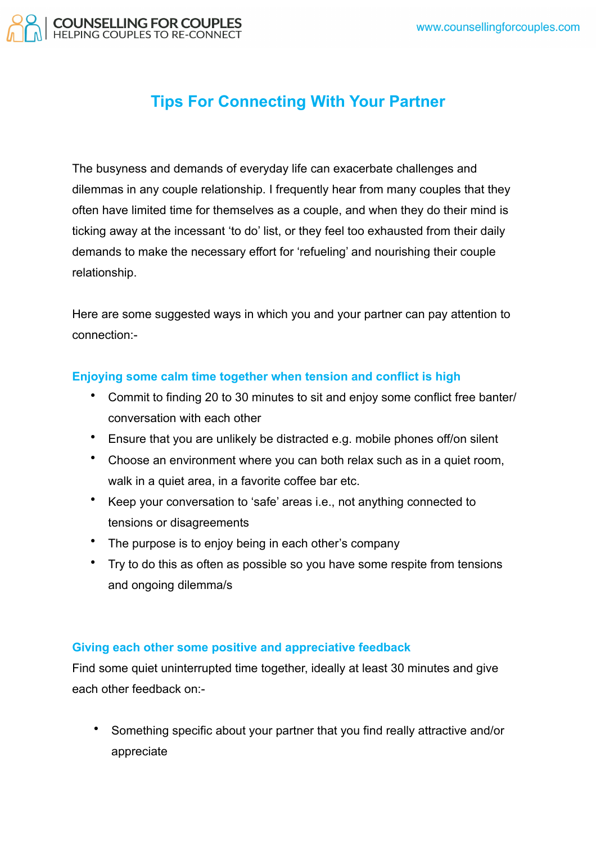

## **Tips For Connecting With Your Partner**

The busyness and demands of everyday life can exacerbate challenges and dilemmas in any couple relationship. I frequently hear from many couples that they often have limited time for themselves as a couple, and when they do their mind is ticking away at the incessant 'to do' list, or they feel too exhausted from their daily demands to make the necessary effort for 'refueling' and nourishing their couple relationship.

Here are some suggested ways in which you and your partner can pay attention to connection:-

## **Enjoying some calm time together when tension and conflict is high**

- Commit to finding 20 to 30 minutes to sit and enjoy some conflict free banter/ conversation with each other
- Ensure that you are unlikely be distracted e.g. mobile phones off/on silent
- Choose an environment where you can both relax such as in a quiet room, walk in a quiet area, in a favorite coffee bar etc.
- Keep your conversation to 'safe' areas i.e., not anything connected to tensions or disagreements
- The purpose is to enjoy being in each other's company
- Try to do this as often as possible so you have some respite from tensions and ongoing dilemma/s

## **Giving each other some positive and appreciative feedback**

Find some quiet uninterrupted time together, ideally at least 30 minutes and give each other feedback on:-

• Something specific about your partner that you find really attractive and/or appreciate